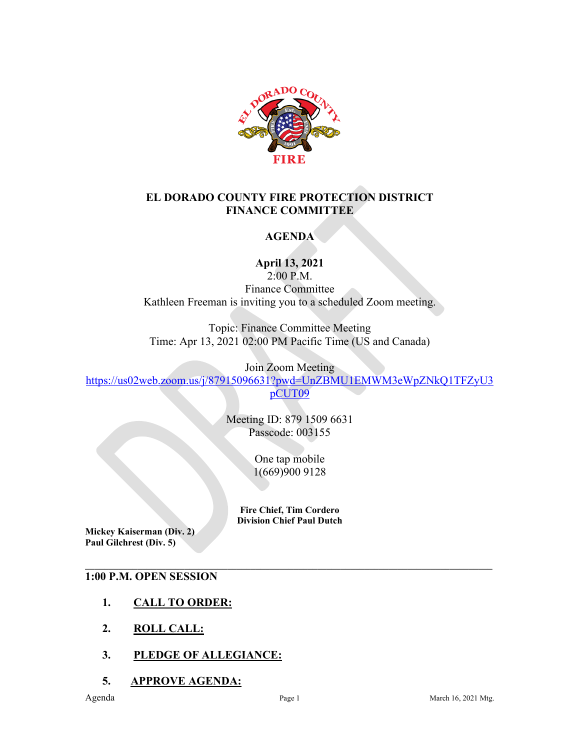

#### **EL DORADO COUNTY FIRE PROTECTION DISTRICT FINANCE COMMITTEE**

# **AGENDA**

**April 13, 2021**

2:00 P.M. Finance Committee Kathleen Freeman is inviting you to a scheduled Zoom meeting.

Topic: Finance Committee Meeting Time: Apr 13, 2021 02:00 PM Pacific Time (US and Canada)

Join Zoom Meeting

[https://us02web.zoom.us/j/87915096631?pwd=UnZBMU1EMWM3eWpZNkQ1TFZyU3](https://us02web.zoom.us/j/87915096631?pwd=UnZBMU1EMWM3eWpZNkQ1TFZyU3pCUT09) [pCUT09](https://us02web.zoom.us/j/87915096631?pwd=UnZBMU1EMWM3eWpZNkQ1TFZyU3pCUT09)

> Meeting ID: 879 1509 6631 Passcode: 003155

> > One tap mobile 1(669)900 9128

**Fire Chief, Tim Cordero Division Chief Paul Dutch**

**Mickey Kaiserman (Div. 2) Paul Gilchrest (Div. 5)** 

#### **\_\_\_\_\_\_\_\_\_\_\_\_\_\_\_\_\_\_\_\_\_\_\_\_\_\_\_\_\_\_\_\_\_\_\_\_\_\_\_\_\_\_\_\_\_\_\_\_\_\_\_\_\_\_\_\_\_\_\_\_\_\_\_\_\_\_\_\_\_\_\_\_\_\_\_\_\_\_\_\_\_\_\_\_\_\_ 1:00 P.M. OPEN SESSION**

- **1. CALL TO ORDER:**
- **2. ROLL CALL:**
- **3. PLEDGE OF ALLEGIANCE:**
- **5. APPROVE AGENDA:**